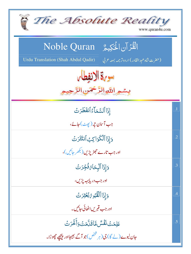| The Absolute Reality<br>www.quran4u.com                                                   |            |
|-------------------------------------------------------------------------------------------|------------|
| الْقُرْآن الْحَكِيمُ ِ Noble Quran                                                        |            |
| Urdu Translation (Shah Abdul Qadir)<br>(حقرت شاه غبد القادر) اردوتر <i>جمه بمعه ع</i> ربي |            |
| سوية الانفطار                                                                             |            |
| بِسْمِ اللَّهِ الرَّحْمَنِ الرَّ                                                          |            |
| إذَا ٱلسَّمَآءُ ٱنفَطَّرَتُ                                                               | $\cdot$ 1  |
| جب آسمان چر (پھٹ)جائے،                                                                    |            |
| وَإِذَا ٱلْكَوَاكِبُ ٱنتَثَرَتُ                                                           | $\cdot$ .2 |
| اور جب تارے <i>جھڑیڑیں(بھر جائیں</i> )،                                                   |            |
| <u>وَإِذَا ٱلۡبِ</u> حَامُ فُجِّرَتَ                                                      | .3         |
| اور جب دريابهبه پڑيں،                                                                     |            |
| وَإِذَا ٱلْقُبُومُ بُعَثِرَتَ                                                             | .4         |
| اور جب <b>قب</b> ریں اٹھائی جائیں۔                                                        |            |
| عَلِمَتۡ نَفۡسُ مَّاقَلَّمَتۡ وَأَخَّرَتۡ                                                 | .5         |
| جان لیوے (لے گا) جی (ہر شخص)جو آگے بھیجااور پیچھے چھوڑا۔                                  |            |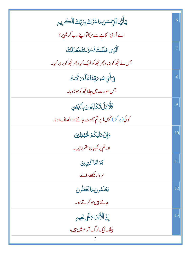| <b>يَأَيُّهَا ٱلْإِنسَنُ مَاغَرَّكَ بِرَبِّكَ ٱلْكَرِيمِ</b>    | .6        |
|-----------------------------------------------------------------|-----------|
| اے آدمی! کاہےسے بہکاتواپنے رب کریم پر؟                          |           |
| ٱلَّذِى خَلَقَكَ فَسَوَّلكَ فَعَدَلَكَ                          | $\cdot$ 7 |
| جس نے تجھ کو بنایا، پھر تجھ کو ٹھیک کیا، پھر تجھ کوبر ابر کیا۔  |           |
| فِ <del>َ</del> أَيِّ صُوبَةٍ مَّا شَآءَ بَ <sup></sup> تَّبَكَ | .8        |
| جس صورت میں چاہات <u>جھ</u> کوجوڑ دیا۔                          |           |
| ؘػؘڵؖڗڹڷؾؙػڹٚ <i>ۣڋۏ</i> ڹۣۘؗڹؚٲڵڒؚؾڹ                           | .9        |
| کوئی(ہر گز)نہیں! پرتم جھوٹ جانتے ہوالصاف ہونا۔                  |           |
| <u>وَإِنَّ عَلَيْكُمُ لَحَفِظِينَ</u>                           | .10       |
| اور تم پر نگہبان مقرر ہیں۔                                      |           |
| كزامًا كَتِبِينَ                                                | .11       |
| سر دار لکھنے والے ،                                             |           |
| يَعْلَمُونَ مَاتَفَعَلُونَ                                      | .12       |
| جانتے ہیں جو کرتے ہو۔                                           |           |
| إِنَّ ٱلْأَبْرَاءَلَّفِى نَعِيمٍ                                | .13       |
| بیشک نیک لوگ آرام میں ہیں،                                      |           |
|                                                                 |           |